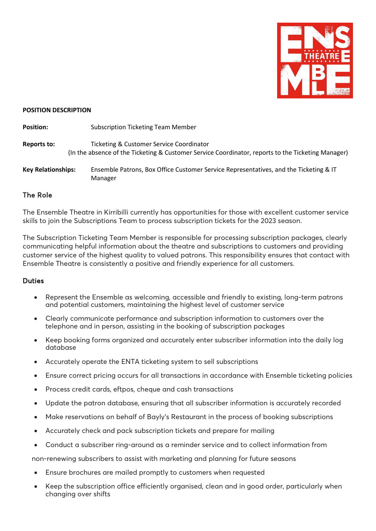

#### **POSITION DESCRIPTION**

**Position:** Subscription Ticketing Team Member **Reports to:** Ticketing & Customer Service Coordinator (In the absence of the Ticketing & Customer Service Coordinator, reports to the Ticketing Manager) **Key Relationships:** Ensemble Patrons, Box Office Customer Service Representatives, and the Ticketing & IT Manager

## The Role

The Ensemble Theatre in Kirribilli currently has opportunities for those with excellent customer service skills to join the Subscriptions Team to process subscription tickets for the 2023 season.

The Subscription Ticketing Team Member is responsible for processing subscription packages, clearly communicating helpful information about the theatre and subscriptions to customers and providing customer service of the highest quality to valued patrons. This responsibility ensures that contact with Ensemble Theatre is consistently a positive and friendly experience for all customers.

### Duties

- Represent the Ensemble as welcoming, accessible and friendly to existing, long-term patrons and potential customers, maintaining the highest level of customer service
- Clearly communicate performance and subscription information to customers over the telephone and in person, assisting in the booking of subscription packages
- Keep booking forms organized and accurately enter subscriber information into the daily log database
- Accurately operate the ENTA ticketing system to sell subscriptions
- Ensure correct pricing occurs for all transactions in accordance with Ensemble ticketing policies
- Process credit cards, eftpos, cheque and cash transactions
- Update the patron database, ensuring that all subscriber information is accurately recorded
- Make reservations on behalf of Bayly's Restaurant in the process of booking subscriptions
- Accurately check and pack subscription tickets and prepare for mailing
- Conduct a subscriber ring-around as a reminder service and to collect information from

non-renewing subscribers to assist with marketing and planning for future seasons

- Ensure brochures are mailed promptly to customers when requested
- Keep the subscription office efficiently organised, clean and in good order, particularly when changing over shifts